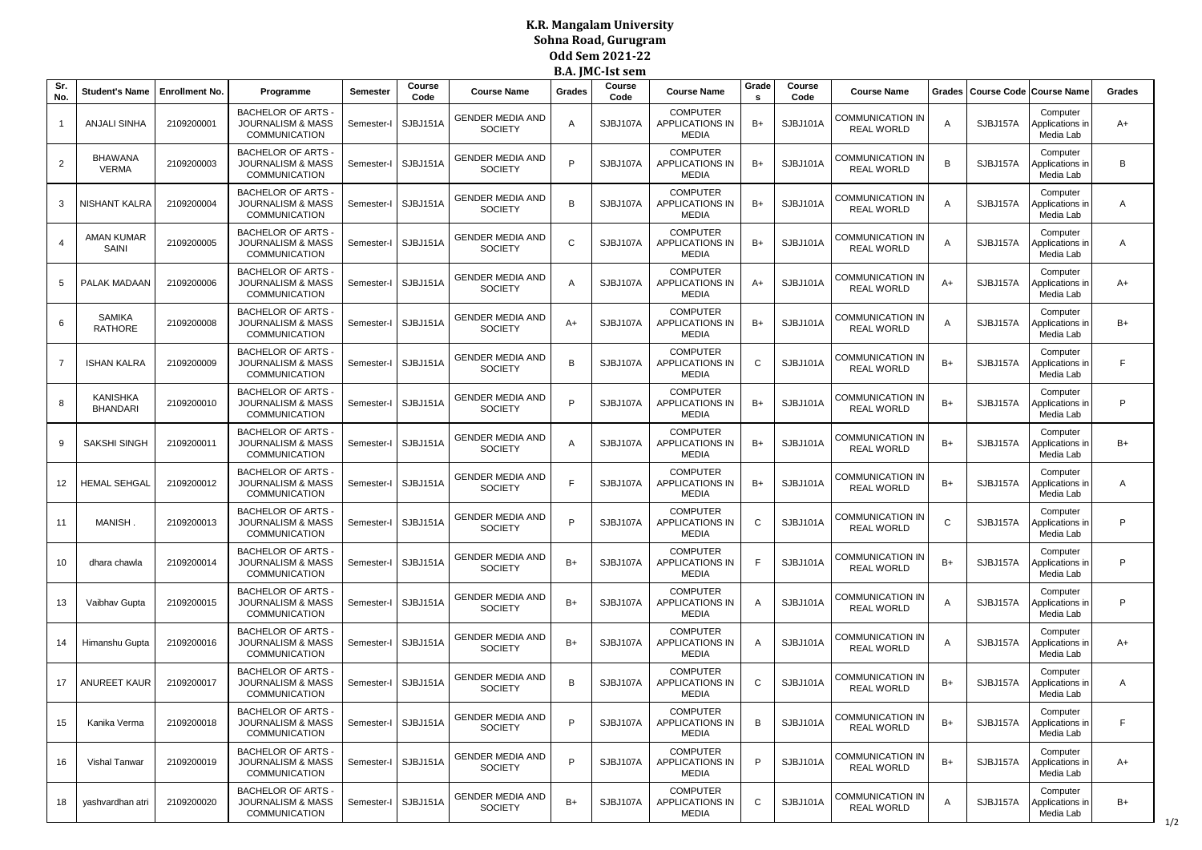## **K.R. Mangalam University Sohna Road, Gurugram Odd Sem 2021-22 B.A. JMC-Ist sem**

| Sr.<br>No. | <b>Student's Name</b>              | <b>Enrollment No.</b> | Programme                                                                         | Semester   | Course<br>Code      | <b>Course Name</b>                        | Grades | рам пчо плезен<br>Course<br>Code | <b>Course Name</b>                                 | Grade<br>s | Course<br>Code | <b>Course Name</b>                           | Grades       |          | Course Code   Course Name                | Grades |
|------------|------------------------------------|-----------------------|-----------------------------------------------------------------------------------|------------|---------------------|-------------------------------------------|--------|----------------------------------|----------------------------------------------------|------------|----------------|----------------------------------------------|--------------|----------|------------------------------------------|--------|
| -1         | ANJALI SINHA                       | 2109200001            | <b>BACHELOR OF ARTS</b><br><b>JOURNALISM &amp; MASS</b><br>COMMUNICATION          | Semester-I | SJBJ151A            | <b>GENDER MEDIA AND</b><br><b>SOCIETY</b> | Α      | SJBJ107A                         | <b>COMPUTER</b><br>APPLICATIONS IN<br><b>MEDIA</b> | $B+$       | SJBJ101A       | COMMUNICATION IN<br><b>REAL WORLD</b>        | A            | SJBJ157A | Computer<br>Applications in<br>Media Lab | A+     |
| 2          | <b>BHAWANA</b><br><b>VERMA</b>     | 2109200003            | <b>BACHELOR OF ARTS</b><br><b>JOURNALISM &amp; MASS</b><br><b>COMMUNICATION</b>   | Semester-  | SJBJ151A            | <b>GENDER MEDIA AND</b><br><b>SOCIETY</b> | P      | SJBJ107A                         | <b>COMPUTER</b><br><b>APPLICATIONS IN</b><br>MEDIA | $B+$       | SJBJ101A       | COMMUNICATION IN<br><b>REAL WORLD</b>        | B            | SJBJ157A | Computer<br>Applications in<br>Media Lab | B      |
| 3          | NISHANT KALRA                      | 2109200004            | <b>BACHELOR OF ARTS</b><br><b>JOURNALISM &amp; MASS</b><br><b>COMMUNICATION</b>   | Semester-I | SJBJ151A            | <b>GENDER MEDIA AND</b><br><b>SOCIETY</b> | B      | SJBJ107A                         | <b>COMPUTER</b><br>APPLICATIONS IN<br><b>MEDIA</b> | $B+$       | SJBJ101A       | COMMUNICATION IN<br><b>REAL WORLD</b>        | A            | SJBJ157A | Computer<br>Applications in<br>Media Lab | Α      |
|            | <b>AMAN KUMAR</b><br>SAINI         | 2109200005            | <b>BACHELOR OF ARTS</b><br><b>JOURNALISM &amp; MASS</b><br>COMMUNICATION          | Semester-I | SJBJ151A            | <b>GENDER MEDIA AND</b><br><b>SOCIETY</b> | C      | SJBJ107A                         | <b>COMPUTER</b><br>APPLICATIONS IN<br><b>MEDIA</b> | $B+$       | SJBJ101A       | COMMUNICATION IN<br><b>REAL WORLD</b>        | A            | SJBJ157A | Computer<br>Applications in<br>Media Lab | Α      |
| 5          | PALAK MADAAN                       | 2109200006            | <b>BACHELOR OF ARTS</b><br><b>JOURNALISM &amp; MASS</b><br><b>COMMUNICATION</b>   | Semester-  | SJBJ151A            | <b>GENDER MEDIA AND</b><br><b>SOCIETY</b> | A      | SJBJ107A                         | <b>COMPUTER</b><br><b>APPLICATIONS IN</b><br>MEDIA | $A+$       | SJBJ101A       | COMMUNICATION IN<br><b>REAL WORLD</b>        | $A+$         | SJBJ157A | Computer<br>Applications in<br>Media Lab | $A+$   |
| 6          | <b>SAMIKA</b><br><b>RATHORE</b>    | 2109200008            | <b>BACHELOR OF ARTS</b><br><b>JOURNALISM &amp; MASS</b><br><b>COMMUNICATION</b>   | Semester-I | SJBJ151A            | <b>GENDER MEDIA AND</b><br><b>SOCIETY</b> | $A+$   | SJBJ107A                         | <b>COMPUTER</b><br>APPLICATIONS IN<br><b>MEDIA</b> | $B+$       | SJBJ101A       | COMMUNICATION IN<br><b>REAL WORLD</b>        | $\mathsf{A}$ | SJBJ157A | Computer<br>Applications in<br>Media Lab | $B+$   |
| 7          | <b>ISHAN KALRA</b>                 | 2109200009            | <b>BACHELOR OF ARTS</b><br><b>JOURNALISM &amp; MASS</b><br>COMMUNICATION          | Semester-I | SJBJ151A            | GENDER MEDIA AND<br><b>SOCIETY</b>        | B      | SJBJ107A                         | <b>COMPUTER</b><br>APPLICATIONS IN<br><b>MEDIA</b> | C          | SJBJ101A       | <b>COMMUNICATION IN</b><br><b>REAL WORLD</b> | $B+$         | SJBJ157A | Computer<br>Applications in<br>Media Lab | F      |
| 8          | <b>KANISHKA</b><br><b>BHANDARI</b> | 2109200010            | <b>BACHELOR OF ARTS</b><br><b>JOURNALISM &amp; MASS</b><br><b>COMMUNICATION</b>   | Semester-I | SJBJ151A            | <b>GENDER MEDIA AND</b><br><b>SOCIETY</b> | P      | SJBJ107A                         | <b>COMPUTER</b><br><b>APPLICATIONS IN</b><br>MEDIA | $B+$       | SJBJ101A       | COMMUNICATION IN<br><b>REAL WORLD</b>        | $B+$         | SJBJ157A | Computer<br>Applications in<br>Media Lab | P      |
| 9          | <b>SAKSHI SINGH</b>                | 2109200011            | <b>BACHELOR OF ARTS</b><br><b>JOURNALISM &amp; MASS</b><br><b>COMMUNICATION</b>   | Semester-I | SJBJ151A            | <b>GENDER MEDIA AND</b><br><b>SOCIETY</b> | Α      | SJBJ107A                         | <b>COMPUTER</b><br>APPLICATIONS IN<br><b>MEDIA</b> | $B+$       | SJBJ101A       | COMMUNICATION IN<br><b>REAL WORLD</b>        | $B+$         | SJBJ157A | Computer<br>Applications in<br>Media Lab | $B+$   |
| 12         | <b>HEMAL SEHGAL</b>                | 2109200012            | <b>BACHELOR OF ARTS</b><br><b>JOURNALISM &amp; MASS</b><br>COMMUNICATION          | Semester-I | SJBJ151A            | GENDER MEDIA AND<br><b>SOCIETY</b>        | F      | SJBJ107A                         | <b>COMPUTER</b><br>APPLICATIONS IN<br><b>MEDIA</b> | $B+$       | SJBJ101A       | COMMUNICATION IN<br><b>REAL WORLD</b>        | $B+$         | SJBJ157A | Computer<br>Applications in<br>Media Lab | Α      |
| 11         | MANISH.                            | 2109200013            | <b>BACHELOR OF ARTS</b><br><b>JOURNALISM &amp; MASS</b><br><b>COMMUNICATION</b>   | Semester-I | SJBJ151A            | <b>GENDER MEDIA AND</b><br><b>SOCIETY</b> | P      | SJBJ107A                         | <b>COMPUTER</b><br>APPLICATIONS IN<br>MEDIA        | C          | SJBJ101A       | COMMUNICATION IN<br><b>REAL WORLD</b>        | $\mathbf C$  | SJBJ157A | Computer<br>Applications in<br>Media Lab | P      |
| 10         | dhara chawla                       | 2109200014            | <b>BACHELOR OF ARTS</b><br><b>JOURNALISM &amp; MASS</b><br><b>COMMUNICATION</b>   | Semester-I | SJBJ151A            | <b>GENDER MEDIA AND</b><br><b>SOCIETY</b> | $B+$   | SJBJ107A                         | <b>COMPUTER</b><br>APPLICATIONS IN<br><b>MEDIA</b> | F.         | SJBJ101A       | COMMUNICATION IN<br><b>REAL WORLD</b>        | $B+$         | SJBJ157A | Computer<br>Applications in<br>Media Lab | P      |
| 13         | Vaibhav Gupta                      | 2109200015            | <b>BACHELOR OF ARTS</b><br><b>JOURNALISM &amp; MASS</b><br>COMMUNICATION          | Semester-I | SJBJ151A            | GENDER MEDIA AND<br><b>SOCIETY</b>        | $B+$   | SJBJ107A                         | <b>COMPUTER</b><br>APPLICATIONS IN<br><b>MEDIA</b> | A          | SJBJ101A       | COMMUNICATION IN<br><b>REAL WORLD</b>        | A            | SJBJ157A | Computer<br>Applications in<br>Media Lab | P      |
| 14         | Himanshu Gupta                     | 2109200016            | <b>BACHELOR OF ARTS</b><br><b>JOURNALISM &amp; MASS</b><br><b>COMMUNICATION</b>   | Semester-I | SJBJ151A            | <b>GENDER MEDIA AND</b><br><b>SOCIETY</b> | $B+$   | SJBJ107A                         | <b>COMPUTER</b><br>APPLICATIONS IN<br>MEDIA        | A          | SJBJ101A       | COMMUNICATION IN<br><b>REAL WORLD</b>        | $\mathsf{A}$ | SJBJ157A | Computer<br>Applications in<br>Media Lab | $A+$   |
| 17         | <b>ANUREET KAUR</b>                | 2109200017            | <b>BACHELOR OF ARTS</b><br><b>JOURNALISM &amp; MASS</b><br><b>COMMUNICATION</b>   | Semester-I | SJBJ151A            | <b>GENDER MEDIA AND</b><br><b>SOCIETY</b> | B      | SJBJ107A                         | <b>COMPUTER</b><br>APPLICATIONS IN<br><b>MEDIA</b> | C          | SJBJ101A       | COMMUNICATION IN<br><b>REAL WORLD</b>        | $B+$         | SJBJ157A | Computer<br>Applications in<br>Media Lab | Α      |
| 15         | Kanika Verma                       | 2109200018            | <b>BACHELOR OF ARTS -</b><br><b>JOURNALISM &amp; MASS</b><br><b>COMMUNICATION</b> |            | Semester-I SJBJ151A | <b>GENDER MEDIA AND</b><br><b>SOCIETY</b> | P      | SJBJ107A                         | <b>COMPUTER</b><br>APPLICATIONS IN<br>MEDIA        | В          | SJBJ101A       | <b>COMMUNICATION IN</b><br><b>REAL WORLD</b> | B+           | SJBJ157A | Computer<br>Applications in<br>Media Lab | F.     |
| 16         | <b>Vishal Tanwar</b>               | 2109200019            | <b>BACHELOR OF ARTS -</b><br>JOURNALISM & MASS<br><b>COMMUNICATION</b>            | Semester-I | SJBJ151A            | <b>GENDER MEDIA AND</b><br><b>SOCIETY</b> | P      | SJBJ107A                         | <b>COMPUTER</b><br>APPLICATIONS IN<br><b>MEDIA</b> | P          | SJBJ101A       | COMMUNICATION IN<br><b>REAL WORLD</b>        | $B+$         | SJBJ157A | Computer<br>Applications in<br>Media Lab | A+     |
| 18         | yashvardhan atri                   | 2109200020            | <b>BACHELOR OF ARTS -</b><br>JOURNALISM & MASS<br><b>COMMUNICATION</b>            | Semester-I | SJBJ151A            | <b>GENDER MEDIA AND</b><br><b>SOCIETY</b> | $B+$   | SJBJ107A                         | <b>COMPUTER</b><br>APPLICATIONS IN<br><b>MEDIA</b> | C          | SJBJ101A       | COMMUNICATION IN<br><b>REAL WORLD</b>        | $\mathsf{A}$ | SJBJ157A | Computer<br>Applications in<br>Media Lab | B+     |